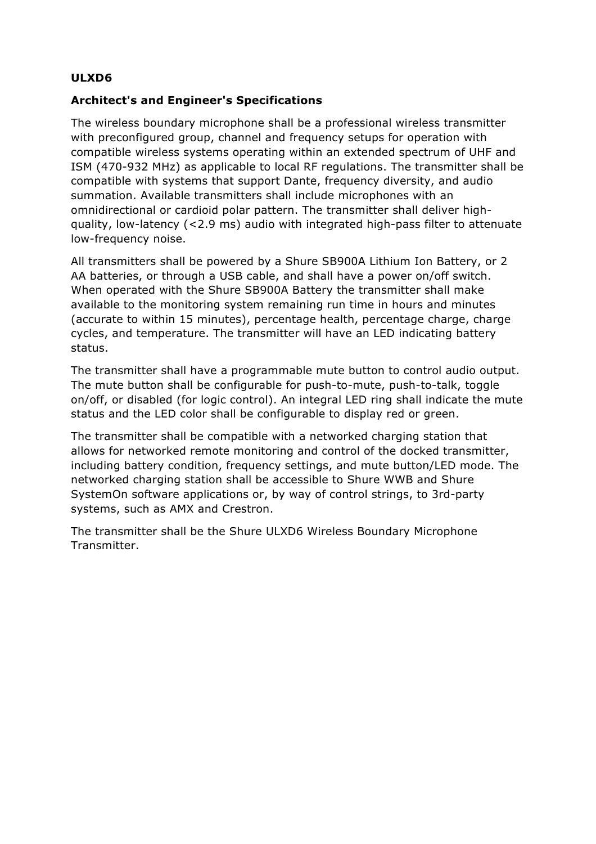## **ULXD6**

## **Architect's and Engineer's Specifications**

The wireless boundary microphone shall be a professional wireless transmitter with preconfigured group, channel and frequency setups for operation with compatible wireless systems operating within an extended spectrum of UHF and ISM (470-932 MHz) as applicable to local RF regulations. The transmitter shall be compatible with systems that support Dante, frequency diversity, and audio summation. Available transmitters shall include microphones with an omnidirectional or cardioid polar pattern. The transmitter shall deliver highquality, low-latency (<2.9 ms) audio with integrated high-pass filter to attenuate low-frequency noise.

All transmitters shall be powered by a Shure SB900A Lithium Ion Battery, or 2 AA batteries, or through a USB cable, and shall have a power on/off switch. When operated with the Shure SB900A Battery the transmitter shall make available to the monitoring system remaining run time in hours and minutes (accurate to within 15 minutes), percentage health, percentage charge, charge cycles, and temperature. The transmitter will have an LED indicating battery status.

The transmitter shall have a programmable mute button to control audio output. The mute button shall be configurable for push-to-mute, push-to-talk, toggle on/off, or disabled (for logic control). An integral LED ring shall indicate the mute status and the LED color shall be configurable to display red or green.

The transmitter shall be compatible with a networked charging station that allows for networked remote monitoring and control of the docked transmitter, including battery condition, frequency settings, and mute button/LED mode. The networked charging station shall be accessible to Shure WWB and Shure SystemOn software applications or, by way of control strings, to 3rd-party systems, such as AMX and Crestron.

The transmitter shall be the Shure ULXD6 Wireless Boundary Microphone Transmitter.